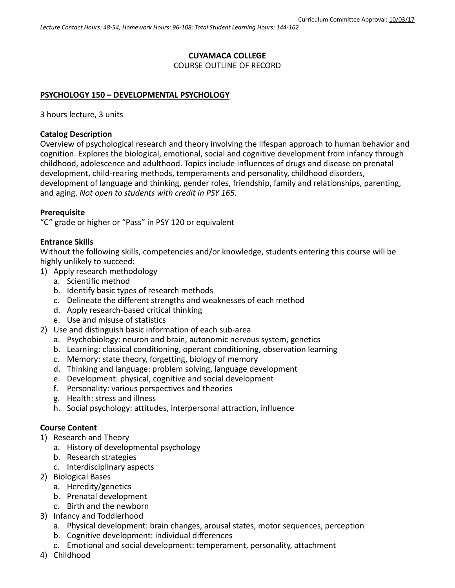# **CUYAMACA COLLEGE**

### COURSE OUTLINE OF RECORD

## **PSYCHOLOGY 150 – DEVELOPMENTAL PSYCHOLOGY**

3 hours lecture, 3 units

### **Catalog Description**

Overview of psychological research and theory involving the lifespan approach to human behavior and cognition. Explores the biological, emotional, social and cognitive development from infancy through childhood, adolescence and adulthood. Topics include influences of drugs and disease on prenatal development, child-rearing methods, temperaments and personality, childhood disorders, development of language and thinking, gender roles, friendship, family and relationships, parenting, and aging. *Not open to students with credit in PSY 165.*

### **Prerequisite**

"C" grade or higher or "Pass" in PSY 120 or equivalent

### **Entrance Skills**

Without the following skills, competencies and/or knowledge, students entering this course will be highly unlikely to succeed:

- 1) Apply research methodology
	- a. Scientific method
	- b. Identify basic types of research methods
	- c. Delineate the different strengths and weaknesses of each method
	- d. Apply research-based critical thinking
	- e. Use and misuse of statistics
- 2) Use and distinguish basic information of each sub-area
	- a. Psychobiology: neuron and brain, autonomic nervous system, genetics
	- b. Learning: classical conditioning, operant conditioning, observation learning
	- c. Memory: state theory, forgetting, biology of memory
	- d. Thinking and language: problem solving, language development
	- e. Development: physical, cognitive and social development
	- f. Personality: various perspectives and theories
	- g. Health: stress and illness
	- h. Social psychology: attitudes, interpersonal attraction, influence

### **Course Content**

- 1) Research and Theory
	- a. History of developmental psychology
	- b. Research strategies
	- c. Interdisciplinary aspects
- 2) Biological Bases
	- a. Heredity/genetics
	- b. Prenatal development
	- c. Birth and the newborn
- 3) Infancy and Toddlerhood
	- a. Physical development: brain changes, arousal states, motor sequences, perception
	- b. Cognitive development: individual differences
	- c. Emotional and social development: temperament, personality, attachment
- 4) Childhood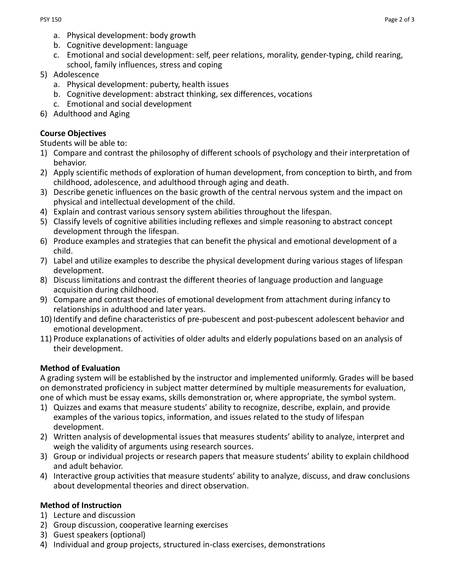- a. Physical development: body growth
- b. Cognitive development: language
- c. Emotional and social development: self, peer relations, morality, gender-typing, child rearing, school, family influences, stress and coping
- 5) Adolescence
	- a. Physical development: puberty, health issues
	- b. Cognitive development: abstract thinking, sex differences, vocations
	- c. Emotional and social development
- 6) Adulthood and Aging

## **Course Objectives**

Students will be able to:

- 1) Compare and contrast the philosophy of different schools of psychology and their interpretation of behavior.
- 2) Apply scientific methods of exploration of human development, from conception to birth, and from childhood, adolescence, and adulthood through aging and death.
- 3) Describe genetic influences on the basic growth of the central nervous system and the impact on physical and intellectual development of the child.
- 4) Explain and contrast various sensory system abilities throughout the lifespan.
- 5) Classify levels of cognitive abilities including reflexes and simple reasoning to abstract concept development through the lifespan.
- 6) Produce examples and strategies that can benefit the physical and emotional development of a child.
- 7) Label and utilize examples to describe the physical development during various stages of lifespan development.
- 8) Discuss limitations and contrast the different theories of language production and language acquisition during childhood.
- 9) Compare and contrast theories of emotional development from attachment during infancy to relationships in adulthood and later years.
- 10) Identify and define characteristics of pre-pubescent and post-pubescent adolescent behavior and emotional development.
- 11) Produce explanations of activities of older adults and elderly populations based on an analysis of their development.

# **Method of Evaluation**

A grading system will be established by the instructor and implemented uniformly. Grades will be based on demonstrated proficiency in subject matter determined by multiple measurements for evaluation, one of which must be essay exams, skills demonstration or, where appropriate, the symbol system.

- 1) Quizzes and exams that measure students' ability to recognize, describe, explain, and provide examples of the various topics, information, and issues related to the study of lifespan development.
- 2) Written analysis of developmental issues that measures students' ability to analyze, interpret and weigh the validity of arguments using research sources.
- 3) Group or individual projects or research papers that measure students' ability to explain childhood and adult behavior.
- 4) Interactive group activities that measure students' ability to analyze, discuss, and draw conclusions about developmental theories and direct observation.

# **Method of Instruction**

- 1) Lecture and discussion
- 2) Group discussion, cooperative learning exercises
- 3) Guest speakers (optional)
- 4) Individual and group projects, structured in-class exercises, demonstrations